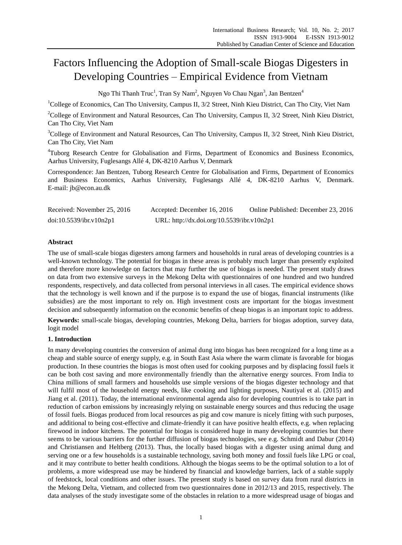# Factors Influencing the Adoption of Small-scale Biogas Digesters in Developing Countries – Empirical Evidence from Vietnam

Ngo Thi Thanh Truc<sup>1</sup>, Tran Sy Nam<sup>2</sup>, Nguyen Vo Chau Ngan<sup>3</sup>, Jan Bentzen<sup>4</sup>

<sup>1</sup>College of Economics, Can Tho University, Campus II, 3/2 Street, Ninh Kieu District, Can Tho City, Viet Nam

<sup>2</sup>College of Environment and Natural Resources, Can Tho University, Campus II, 3/2 Street, Ninh Kieu District, Can Tho City, Viet Nam

<sup>3</sup>College of Environment and Natural Resources, Can Tho University, Campus II, 3/2 Street, Ninh Kieu District, Can Tho City, Viet Nam

<sup>4</sup>Tuborg Research Centre for Globalisation and Firms, Department of Economics and Business Economics, Aarhus University, Fuglesangs Allé 4, DK-8210 Aarhus V, Denmark

Correspondence: Jan Bentzen, Tuborg Research Centre for Globalisation and Firms, Department of Economics and Business Economics, Aarhus University, Fuglesangs Allé 4, DK-8210 Aarhus V, Denmark. E-mail: jb@econ.au.dk

| Received: November 25, 2016 | Accepted: December 16, 2016                | Online Published: December 23, 2016 |
|-----------------------------|--------------------------------------------|-------------------------------------|
| doi:10.5539/ibr.v10n2p1     | URL: http://dx.doi.org/10.5539/ibr.v10n2p1 |                                     |

# **Abstract**

The use of small-scale biogas digesters among farmers and households in rural areas of developing countries is a well-known technology. The potential for biogas in these areas is probably much larger than presently exploited and therefore more knowledge on factors that may further the use of biogas is needed. The present study draws on data from two extensive surveys in the Mekong Delta with questionnaires of one hundred and two hundred respondents, respectively, and data collected from personal interviews in all cases. The empirical evidence shows that the technology is well known and if the purpose is to expand the use of biogas, financial instruments (like subsidies) are the most important to rely on. High investment costs are important for the biogas investment decision and subsequently information on the economic benefits of cheap biogas is an important topic to address.

**Keywords:** small-scale biogas, developing countries, Mekong Delta, barriers for biogas adoption, survey data, logit model

# **1. Introduction**

In many developing countries the conversion of animal dung into biogas has been recognized for a long time as a cheap and stable source of energy supply, e.g. in South East Asia where the warm climate is favorable for biogas production. In these countries the biogas is most often used for cooking purposes and by displacing fossil fuels it can be both cost saving and more environmentally friendly than the alternative energy sources. From India to China millions of small farmers and households use simple versions of the biogas digester technology and that will fulfil most of the household energy needs, like cooking and lighting purposes, Nautiyal et al. (2015) and Jiang et al. (2011). Today, the international environmental agenda also for developing countries is to take part in reduction of carbon emissions by increasingly relying on sustainable energy sources and thus reducing the usage of fossil fuels. Biogas produced from local resources as pig and cow manure is nicely fitting with such purposes, and additional to being cost-effective and climate-friendly it can have positive health effects, e.g. when replacing firewood in indoor kitchens. The potential for biogas is considered huge in many developing countries but there seems to be various barriers for the further diffusion of biogas technologies, see e.g. Schmidt and Dabur (2014) and Christiansen and Heltberg (2013). Thus, the locally based biogas with a digester using animal dung and serving one or a few households is a sustainable technology, saving both money and fossil fuels like LPG or coal, and it may contribute to better health conditions. Although the biogas seems to be the optimal solution to a lot of problems, a more widespread use may be hindered by financial and knowledge barriers, lack of a stable supply of feedstock, local conditions and other issues. The present study is based on survey data from rural districts in the Mekong Delta, Vietnam, and collected from two questionnaires done in 2012/13 and 2015, respectively. The data analyses of the study investigate some of the obstacles in relation to a more widespread usage of biogas and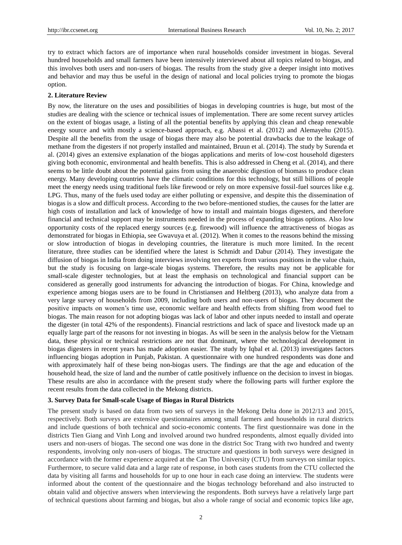try to extract which factors are of importance when rural households consider investment in biogas. Several hundred households and small farmers have been intensively interviewed about all topics related to biogas, and this involves both users and non-users of biogas. The results from the study give a deeper insight into motives and behavior and may thus be useful in the design of national and local policies trying to promote the biogas option.

## **2. Literature Review**

By now, the literature on the uses and possibilities of biogas in developing countries is huge, but most of the studies are dealing with the science or technical issues of implementation. There are some recent survey articles on the extent of biogas usage, a listing of all the potential benefits by applying this clean and cheap renewable energy source and with mostly a science-based approach, e.g. Abassi et al. (2012) and Alemayehu (2015). Despite all the benefits from the usage of biogas there may also be potential drawbacks due to the leakage of methane from the digesters if not properly installed and maintained, Bruun et al. (2014). The study by Surenda et al. (2014) gives an extensive explanation of the biogas applications and merits of low-cost household digesters giving both economic, environmental and health benefits. This is also addressed in Cheng et al. (2014), and there seems to be little doubt about the potential gains from using the anaerobic digestion of biomass to produce clean energy. Many developing countries have the climatic conditions for this technology, but still billions of people meet the energy needs using traditional fuels like firewood or rely on more expensive fossil-fuel sources like e.g. LPG. Thus, many of the fuels used today are either polluting or expensive, and despite this the dissemination of biogas is a slow and difficult process. According to the two before-mentioned studies, the causes for the latter are high costs of installation and lack of knowledge of how to install and maintain biogas digesters, and therefore financial and technical support may be instruments needed in the process of expanding biogas options. Also low opportunity costs of the replaced energy sources (e.g. firewood) will influence the attractiveness of biogas as demonstrated for biogas in Ethiopia, see Gwavuya et al. (2012). When it comes to the reasons behind the missing or slow introduction of biogas in developing countries, the literature is much more limited. In the recent literature, three studies can be identified where the latest is Schmidt and Dabur (2014). They investigate the diffusion of biogas in India from doing interviews involving ten experts from various positions in the value chain, but the study is focusing on large-scale biogas systems. Therefore, the results may not be applicable for small-scale digester technologies, but at least the emphasis on technological and financial support can be considered as generally good instruments for advancing the introduction of biogas. For China, knowledge and experience among biogas users are to be found in Christiansen and Heltberg (2013), who analyze data from a very large survey of households from 2009, including both users and non-users of biogas. They document the positive impacts on women"s time use, economic welfare and health effects from shifting from wood fuel to biogas. The main reason for not adopting biogas was lack of labor and other inputs needed to install and operate the digester (in total 42% of the respondents). Financial restrictions and lack of space and livestock made up an equally large part of the reasons for not investing in biogas. As will be seen in the analysis below for the Vietnam data, these physical or technical restrictions are not that dominant, where the technological development in biogas digesters in recent years has made adoption easier. The study by Iqbal et al. (2013) investigates factors influencing biogas adoption in Punjab, Pakistan. A questionnaire with one hundred respondents was done and with approximately half of these being non-biogas users. The findings are that the age and education of the household head, the size of land and the number of cattle positively influence on the decision to invest in biogas. These results are also in accordance with the present study where the following parts will further explore the recent results from the data collected in the Mekong districts.

## **3. Survey Data for Small-scale Usage of Biogas in Rural Districts**

The present study is based on data from two sets of surveys in the Mekong Delta done in 2012/13 and 2015, respectively. Both surveys are extensive questionnaires among small farmers and households in rural districts and include questions of both technical and socio-economic contents. The first questionnaire was done in the districts Tien Giang and Vinh Long and involved around two hundred respondents, almost equally divided into users and non-users of biogas. The second one was done in the district Soc Trang with two hundred and twenty respondents, involving only non-users of biogas. The structure and questions in both surveys were designed in accordance with the former experience acquired at the Can Tho University (CTU) from surveys on similar topics. Furthermore, to secure valid data and a large rate of response, in both cases students from the CTU collected the data by visiting all farms and households for up to one hour in each case doing an interview. The students were informed about the content of the questionnaire and the biogas technology beforehand and also instructed to obtain valid and objective answers when interviewing the respondents. Both surveys have a relatively large part of technical questions about farming and biogas, but also a whole range of social and economic topics like age,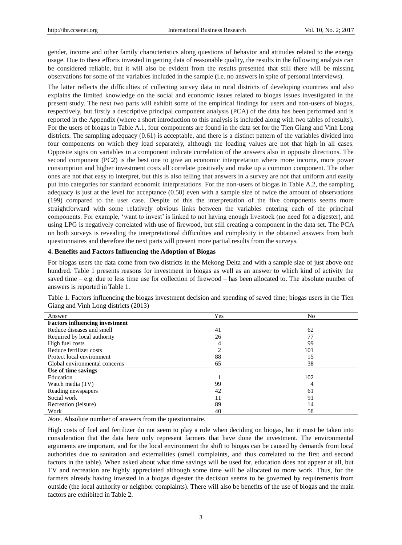gender, income and other family characteristics along questions of behavior and attitudes related to the energy usage. Due to these efforts invested in getting data of reasonable quality, the results in the following analysis can be considered reliable, but it will also be evident from the results presented that still there will be missing observations for some of the variables included in the sample (i.e. no answers in spite of personal interviews).

The latter reflects the difficulties of collecting survey data in rural districts of developing countries and also explains the limited knowledge on the social and economic issues related to biogas issues investigated in the present study. The next two parts will exhibit some of the empirical findings for users and non-users of biogas, respectively, but firstly a descriptive principal component analysis (PCA) of the data has been performed and is reported in the Appendix (where a short introduction to this analysis is included along with two tables of results). For the users of biogas in Table A.1, four components are found in the data set for the Tien Giang and Vinh Long districts. The sampling adequacy (0.61) is acceptable, and there is a distinct pattern of the variables divided into four components on which they load separately, although the loading values are not that high in all cases. Opposite signs on variables in a component indicate correlation of the answers also in opposite directions. The second component (PC2) is the best one to give an economic interpretation where more income, more power consumption and higher investment costs all correlate positively and make up a common component. The other ones are not that easy to interpret, but this is also telling that answers in a survey are not that uniform and easily put into categories for standard economic interpretations. For the non-users of biogas in Table A.2, the sampling adequacy is just at the level for acceptance (0.50) even with a sample size of twice the amount of observations (199) compared to the user case. Despite of this the interpretation of the five components seems more straightforward with some relatively obvious links between the variables entering each of the principal components. For example, "want to invest" is linked to not having enough livestock (no need for a digester), and using LPG is negatively correlated with use of firewood, but still creating a component in the data set. The PCA on both surveys is revealing the interpretational difficulties and complexity in the obtained answers from both questionnaires and therefore the next parts will present more partial results from the surveys.

## **4. Benefits and Factors Influencing the Adoption of Biogas**

For biogas users the data come from two districts in the Mekong Delta and with a sample size of just above one hundred. Table 1 presents reasons for investment in biogas as well as an answer to which kind of activity the saved time – e.g. due to less time use for collection of firewood – has been allocated to. The absolute number of answers is reported in Table 1.

| Answer                                | Yes | No  |
|---------------------------------------|-----|-----|
| <b>Factors influencing investment</b> |     |     |
| Reduce diseases and smell             | 41  | 62  |
| Required by local authority           | 26  | 77  |
| High fuel costs                       | 4   | 99  |
| Reduce fertilizer costs               |     | 101 |
| Protect local environment             | 88  | 15  |
| Global environmental concerns         | 65  | 38  |
| Use of time savings                   |     |     |
| Education                             |     | 102 |
| Watch media (TV)                      | 99  | 4   |
| Reading newspapers                    | 42  | 61  |
| Social work                           |     | 91  |
| Recreation (leisure)                  | 89  | 14  |
| Work                                  | 40  | 58  |
|                                       |     |     |

Table 1. Factors influencing the biogas investment decision and spending of saved time; biogas users in the Tien Giang and Vinh Long districts (2013)

*Note.* Absolute number of answers from the questionnaire.

High costs of fuel and fertilizer do not seem to play a role when deciding on biogas, but it must be taken into consideration that the data here only represent farmers that have done the investment. The environmental arguments are important, and for the local environment the shift to biogas can be caused by demands from local authorities due to sanitation and externalities (smell complaints, and thus correlated to the first and second factors in the table). When asked about what time savings will be used for, education does not appear at all, but TV and recreation are highly appreciated although some time will be allocated to more work. Thus, for the farmers already having invested in a biogas digester the decision seems to be governed by requirements from outside (the local authority or neighbor complaints). There will also be benefits of the use of biogas and the main factors are exhibited in Table 2.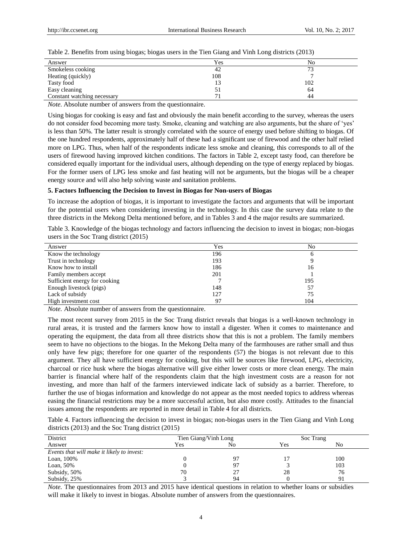| Table 2. Benefits from using biogas; biogas users in the Tien Giang and Vinh Long districts (2013) |  |  |  |  |  |  |  |
|----------------------------------------------------------------------------------------------------|--|--|--|--|--|--|--|
|                                                                                                    |  |  |  |  |  |  |  |

| Answer                      | Yes | No                       |
|-----------------------------|-----|--------------------------|
| Smokeless cooking           | 42  | $\overline{\phantom{a}}$ |
| Heating (quickly)           | 108 |                          |
| Tasty food                  |     | 102                      |
| Easy cleaning               |     | 64                       |
| Constant watching necessary |     | 44                       |

*Note.* Absolute number of answers from the questionnaire.

Using biogas for cooking is easy and fast and obviously the main benefit according to the survey, whereas the users do not consider food becoming more tasty. Smoke, cleaning and watching are also arguments, but the share of "yes" is less than 50%. The latter result is strongly correlated with the source of energy used before shifting to biogas. Of the one hundred respondents, approximately half of these had a significant use of firewood and the other half relied more on LPG. Thus, when half of the respondents indicate less smoke and cleaning, this corresponds to all of the users of firewood having improved kitchen conditions. The factors in Table 2, except tasty food, can therefore be considered equally important for the individual users, although depending on the type of energy replaced by biogas. For the former users of LPG less smoke and fast heating will not be arguments, but the biogas will be a cheaper energy source and will also help solving waste and sanitation problems.

#### **5. Factors Influencing the Decision to Invest in Biogas for Non-users of Biogas**

To increase the adoption of biogas, it is important to investigate the factors and arguments that will be important for the potential users when considering investing in the technology. In this case the survey data relate to the three districts in the Mekong Delta mentioned before, and in Tables 3 and 4 the major results are summarized.

Table 3. Knowledge of the biogas technology and factors influencing the decision to invest in biogas; non-biogas users in the Soc Trang district (2015)

| Yes | No  |
|-----|-----|
| 196 | O   |
| 193 |     |
| 186 | 16  |
| 201 |     |
|     | 195 |
| 148 | 57  |
| 127 | 75  |
| 97  | 104 |
|     |     |

*Note.* Absolute number of answers from the questionnaire.

The most recent survey from 2015 in the Soc Trang district reveals that biogas is a well-known technology in rural areas, it is trusted and the farmers know how to install a digester. When it comes to maintenance and operating the equipment, the data from all three districts show that this is not a problem. The family members seem to have no objections to the biogas. In the Mekong Delta many of the farmhouses are rather small and thus only have few pigs; therefore for one quarter of the respondents (57) the biogas is not relevant due to this argument. They all have sufficient energy for cooking, but this will be sources like firewood, LPG, electricity, charcoal or rice husk where the biogas alternative will give either lower costs or more clean energy. The main barrier is financial where half of the respondents claim that the high investment costs are a reason for not investing, and more than half of the farmers interviewed indicate lack of subsidy as a barrier. Therefore, to further the use of biogas information and knowledge do not appear as the most needed topics to address whereas easing the financial restrictions may be a more successful action, but also more costly. Attitudes to the financial issues among the respondents are reported in more detail in Table 4 for all districts.

Table 4. Factors influencing the decision to invest in biogas; non-biogas users in the Tien Giang and Vinh Long districts (2013) and the Soc Trang district (2015)

| District                                   | Tien Giang/Vinh Long |    |     | Soc Trang |
|--------------------------------------------|----------------------|----|-----|-----------|
| Answer                                     | Yes                  | No | Yes | No        |
| Events that will make it likely to invest: |                      |    |     |           |
| Loan, 100%                                 |                      | 97 |     | 100       |
| Loan, 50%                                  |                      | 97 |     | 103       |
| Subsidy, 50%                               | 70                   | 27 | 28  | 76        |
| Subsidy, 25%                               |                      | 94 |     | 91        |

*Note.* The questionnaires from 2013 and 2015 have identical questions in relation to whether loans or subsidies will make it likely to invest in biogas. Absolute number of answers from the questionnaires.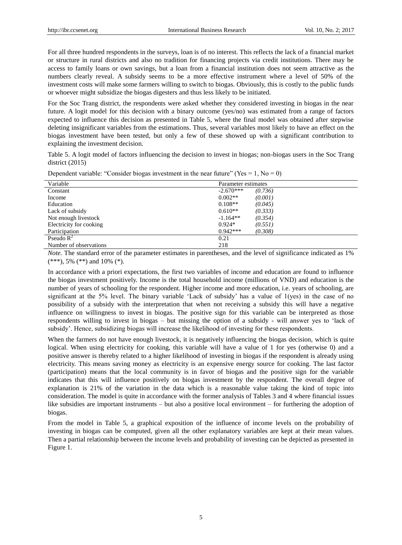For all three hundred respondents in the surveys, loan is of no interest. This reflects the lack of a financial market or structure in rural districts and also no tradition for financing projects via credit institutions. There may be access to family loans or own savings, but a loan from a financial institution does not seem attractive as the numbers clearly reveal. A subsidy seems to be a more effective instrument where a level of 50% of the investment costs will make some farmers willing to switch to biogas. Obviously, this is costly to the public funds or whoever might subsidize the biogas digesters and thus less likely to be initiated.

For the Soc Trang district, the respondents were asked whether they considered investing in biogas in the near future. A logit model for this decision with a binary outcome (yes/no) was estimated from a range of factors expected to influence this decision as presented in Table 5, where the final model was obtained after stepwise deleting insignificant variables from the estimations. Thus, several variables most likely to have an effect on the biogas investment have been tested, but only a few of these showed up with a significant contribution to explaining the investment decision.

Table 5. A logit model of factors influencing the decision to invest in biogas; non-biogas users in the Soc Trang district (2015)

| Dependent variable: "Consider biogas investment in the near future" (Yes = 1, No = 0) |  |  |  |  |
|---------------------------------------------------------------------------------------|--|--|--|--|
|                                                                                       |  |  |  |  |

| Variable                | Parameter estimates    |
|-------------------------|------------------------|
| Constant                | $-2.670***$<br>(0.736) |
| Income                  | $0.002**$<br>(0.001)   |
| Education               | $0.108**$<br>(0.045)   |
| Lack of subsidy         | $0.610**$<br>(0.333)   |
| Not enough livestock    | $-1.164**$<br>(0.354)  |
| Electricity for cooking | $0.924*$<br>(0.551)    |
| Participation           | $0.942***$<br>(0.308)  |
| Pseudo $R^2$            | 0.21                   |
| Number of observations  | 218                    |

*Note*. The standard error of the parameter estimates in parentheses, and the level of significance indicated as 1%  $(***), 5\%$   $(**)$  and 10%  $(*).$ 

In accordance with a priori expectations, the first two variables of income and education are found to influence the biogas investment positively. Income is the total household income (millions of VND) and education is the number of years of schooling for the respondent. Higher income and more education, i.e. years of schooling, are significant at the 5% level. The binary variable "Lack of subsidy" has a value of 1(yes) in the case of no possibility of a subsidy with the interpretation that when not receiving a subsidy this will have a negative influence on willingness to invest in biogas. The positive sign for this variable can be interpreted as those respondents willing to invest in biogas – but missing the option of a subsidy - will answer yes to "lack of subsidy". Hence, subsidizing biogas will increase the likelihood of investing for these respondents.

When the farmers do not have enough livestock, it is negatively influencing the biogas decision, which is quite logical. When using electricity for cooking, this variable will have a value of 1 for yes (otherwise 0) and a positive answer is thereby related to a higher likelihood of investing in biogas if the respondent is already using electricity. This means saving money as electricity is an expensive energy source for cooking. The last factor (participation) means that the local community is in favor of biogas and the positive sign for the variable indicates that this will influence positively on biogas investment by the respondent. The overall degree of explanation is 21% of the variation in the data which is a reasonable value taking the kind of topic into consideration. The model is quite in accordance with the former analysis of Tables 3 and 4 where financial issues like subsidies are important instruments – but also a positive local environment – for furthering the adoption of biogas.

From the model in Table 5, a graphical exposition of the influence of income levels on the probability of investing in biogas can be computed, given all the other explanatory variables are kept at their mean values. Then a partial relationship between the income levels and probability of investing can be depicted as presented in Figure 1.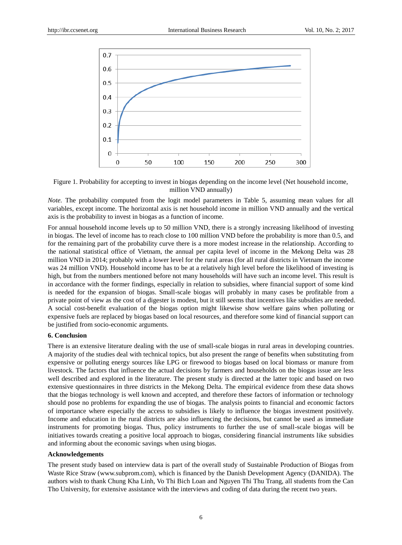

Figure 1. Probability for accepting to invest in biogas depending on the income level (Net household income, million VND annually)

*Note.* The probability computed from the logit model parameters in Table 5, assuming mean values for all variables, except income. The horizontal axis is net household income in million VND annually and the vertical axis is the probability to invest in biogas as a function of income.

For annual household income levels up to 50 million VND, there is a strongly increasing likelihood of investing in biogas. The level of income has to reach close to 100 million VND before the probability is more than 0.5, and for the remaining part of the probability curve there is a more modest increase in the relationship. According to the national statistical office of Vietnam, the annual per capita level of income in the Mekong Delta was 28 million VND in 2014; probably with a lower level for the rural areas (for all rural districts in Vietnam the income was 24 million VND). Household income has to be at a relatively high level before the likelihood of investing is high, but from the numbers mentioned before not many households will have such an income level. This result is in accordance with the former findings, especially in relation to subsidies, where financial support of some kind is needed for the expansion of biogas. Small-scale biogas will probably in many cases be profitable from a private point of view as the cost of a digester is modest, but it still seems that incentives like subsidies are needed. A social cost-benefit evaluation of the biogas option might likewise show welfare gains when polluting or expensive fuels are replaced by biogas based on local resources, and therefore some kind of financial support can be justified from socio-economic arguments.

# **6. Conclusion**

There is an extensive literature dealing with the use of small-scale biogas in rural areas in developing countries. A majority of the studies deal with technical topics, but also present the range of benefits when substituting from expensive or polluting energy sources like LPG or firewood to biogas based on local biomass or manure from livestock. The factors that influence the actual decisions by farmers and households on the biogas issue are less well described and explored in the literature. The present study is directed at the latter topic and based on two extensive questionnaires in three districts in the Mekong Delta. The empirical evidence from these data shows that the biogas technology is well known and accepted, and therefore these factors of information or technology should pose no problems for expanding the use of biogas. The analysis points to financial and economic factors of importance where especially the access to subsidies is likely to influence the biogas investment positively. Income and education in the rural districts are also influencing the decisions, but cannot be used as immediate instruments for promoting biogas. Thus, policy instruments to further the use of small-scale biogas will be initiatives towards creating a positive local approach to biogas, considering financial instruments like subsidies and informing about the economic savings when using biogas.

# **Acknowledgements**

The present study based on interview data is part of the overall study of Sustainable Production of Biogas from Waste Rice Straw (www.subprom.com), which is financed by the Danish Development Agency (DANIDA). The authors wish to thank Chung Kha Linh, Vo Thi Bich Loan and Nguyen Thi Thu Trang, all students from the Can Tho University, for extensive assistance with the interviews and coding of data during the recent two years.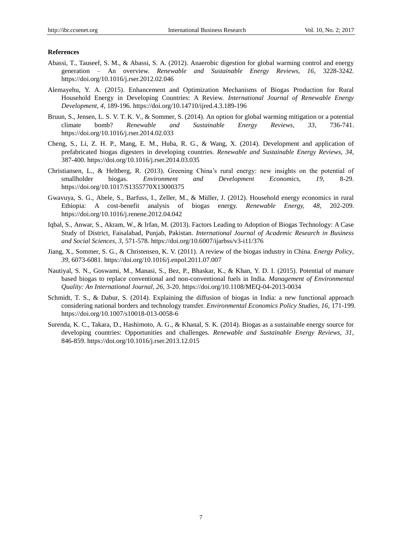## **References**

- Abassi, T., Tauseef, S. M., & Abassi, S. A. (2012). Anaerobic digestion for global warming control and energy generation – An overview. *Renewable and Sustainable Energy Reviews, 16,* 3228-3242. <https://doi.org/10.1016/j.rser.2012.02.046>
- Alemayehu, Y. A. (2015). Enhancement and Optimization Mechanisms of Biogas Production for Rural Household Energy in Developing Countries: A Review. *International Journal of Renewable Energy Development, 4,* 189-196. <https://doi.org/10.14710/ijred.4.3.189-196>
- Bruun, S., Jensen, L. S. V. T. K. V., & Sommer, S. (2014). An option for global warming mitigation or a potential climate bomb? *Renewable and Sustainable Energy Reviews, 33,* 736-741. <https://doi.org/10.1016/j.rser.2014.02.033>
- Cheng, S., Li, Z. H. P., Mang, E. M., Huba, R. G., & Wang, X. (2014). Development and application of prefabricated biogas digesters in developing countries. *Renewable and Sustainable Energy Reviews, 34,*  387-400. <https://doi.org/10.1016/j.rser.2014.03.035>
- Christiansen, L., & Heltberg, R. (2013). Greening China"s rural energy: new insights on the potential of smallholder biogas. *Environment and Development Economics, 19,* 8-29. <https://doi.org/10.1017/S1355770X13000375>
- Gwavuya, S. G., Abele, S., Barfuss, I., Zeller, M., & Müller, J. (2012). Household energy economics in rural Ethiopia: A cost-benefit analysis of biogas energy. *Renewable Energy, 48,* 202-209. <https://doi.org/10.1016/j.renene.2012.04.042>
- Iqbal, S., Anwar, S., Akram, W., & Irfan, M. (2013). Factors Leading to Adoption of Biogas Technology: A Case Study of District, Faisalabad, Punjab, Pakistan. *International Journal of Academic Research in Business and Social Sciences, 3,* 571-578. <https://doi.org/10.6007/ijarbss/v3-i11/376>
- Jiang, X., Sommer, S. G., & Christensen, K. V. (2011). A review of the biogas industry in China. *Energy Policy*, *39,* 6073-6081. <https://doi.org/10.1016/j.enpol.2011.07.007>
- Nautiyal, S. N., Goswami, M., Manasi, S., Bez, P., Bhaskar, K., & Khan, Y. D. I. (2015). Potential of manure based biogas to replace conventional and non-conventional fuels in India. *Management of Environmental Quality: An International Journal, 26,* 3-20. <https://doi.org/10.1108/MEQ-04-2013-0034>
- Schmidt, T. S., & Dabur, S. (2014). Explaining the diffusion of biogas in India: a new functional approach considering national borders and technology transfer. *Environmental Economics Policy Studies, 16,* 171-199. <https://doi.org/10.1007/s10018-013-0058-6>
- Surenda, K. C., Takara, D., Hashimoto, A. G., & Khanal, S. K. (2014). Biogas as a sustainable energy source for developing countries: Opportunities and challenges. *Renewable and Sustainable Energy Reviews, 31,*  846-859. <https://doi.org/10.1016/j.rser.2013.12.015>